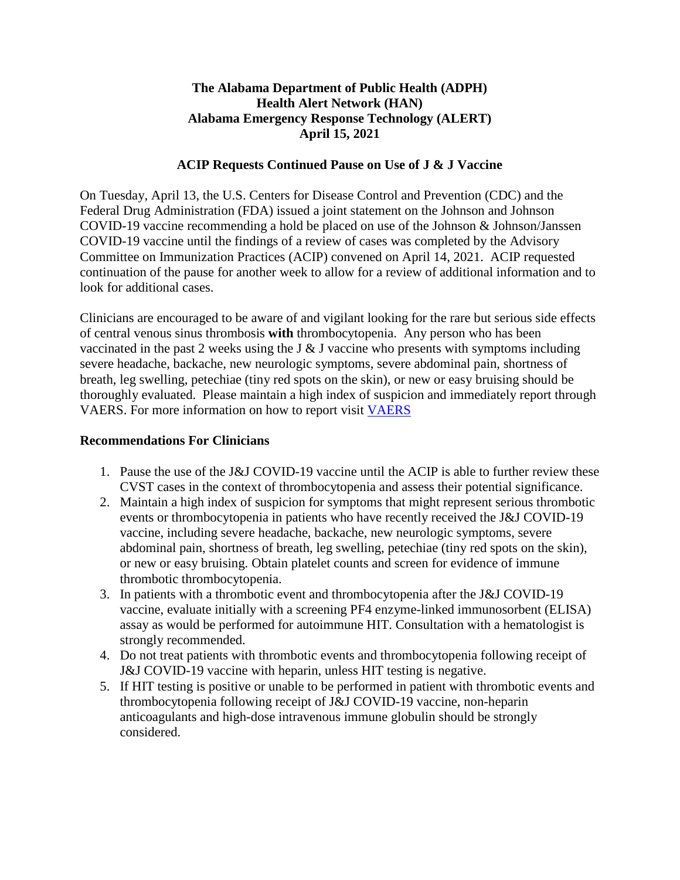## **The Alabama Department of Public Health (ADPH) Health Alert Network (HAN) Alabama Emergency Response Technology (ALERT) April 15, 2021**

## **ACIP Requests Continued Pause on Use of J & J Vaccine**

On Tuesday, April 13, the U.S. Centers for Disease Control and Prevention (CDC) and the Federal Drug Administration (FDA) issued a joint statement on the Johnson and Johnson COVID-19 vaccine recommending a hold be placed on use of the Johnson & Johnson/Janssen COVID-19 vaccine until the findings of a review of cases was completed by the Advisory Committee on Immunization Practices (ACIP) convened on April 14, 2021. ACIP requested continuation of the pause for another week to allow for a review of additional information and to look for additional cases.

Clinicians are encouraged to be aware of and vigilant looking for the rare but serious side effects of central venous sinus thrombosis **with** thrombocytopenia. Any person who has been vaccinated in the past 2 weeks using the J  $\&$  J vaccine who presents with symptoms including severe headache, backache, new neurologic symptoms, severe abdominal pain, shortness of breath, leg swelling, petechiae (tiny red spots on the skin), or new or easy bruising should be thoroughly evaluated. Please maintain a high index of suspicion and immediately report through VAERS. For more information on how to report visit [VAERS](https://t.emailupdates.cdc.gov/r/?id=h43b26b3b%2C13d2d931%2C13d2e259&ACSTrackingID=USCDC_511-DM54865&ACSTrackingLabel=HAN%20442%20-%20COCA%20Subscribers&s=aXURNP3QxlyZTyBb2Km4pge-dTFmxQbOnrpk9YxbMTs)

## **Recommendations For Clinicians**

- 1. Pause the use of the J&J COVID-19 vaccine until the ACIP is able to further review these CVST cases in the context of thrombocytopenia and assess their potential significance.
- 2. Maintain a high index of suspicion for symptoms that might represent serious thrombotic events or thrombocytopenia in patients who have recently received the J&J COVID-19 vaccine, including severe headache, backache, new neurologic symptoms, severe abdominal pain, shortness of breath, leg swelling, petechiae (tiny red spots on the skin), or new or easy bruising. Obtain platelet counts and screen for evidence of immune thrombotic thrombocytopenia.
- 3. In patients with a thrombotic event and thrombocytopenia after the J&J COVID-19 vaccine, evaluate initially with a screening PF4 enzyme-linked immunosorbent (ELISA) assay as would be performed for autoimmune HIT. Consultation with a hematologist is strongly recommended.
- 4. Do not treat patients with thrombotic events and thrombocytopenia following receipt of J&J COVID-19 vaccine with heparin, unless HIT testing is negative.
- 5. If HIT testing is positive or unable to be performed in patient with thrombotic events and thrombocytopenia following receipt of J&J COVID-19 vaccine, non-heparin anticoagulants and high-dose intravenous immune globulin should be strongly considered.